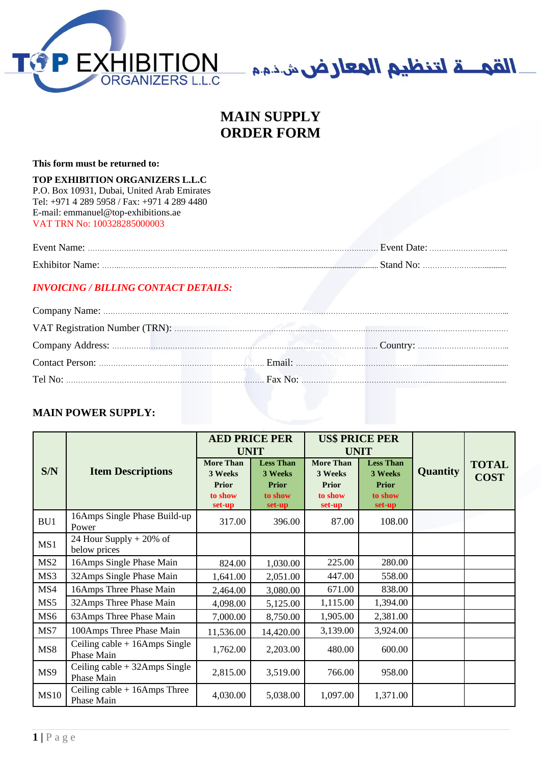



# **MAIN SUPPLY ORDER FORM**

**This form must be returned to:**

# **TOP EXHIBITION ORGANIZERS L.L.C**

P.O. Box 10931, Dubai, United Arab Emirates Tel: +971 4 289 5958 / Fax: +971 4 289 4480 E-mail: emmanuel@top-exhibitions.ae VAT TRN No: 100328285000003

| Event Name:                                                                                                                               |       |
|-------------------------------------------------------------------------------------------------------------------------------------------|-------|
| <b>Exhibitor Name:</b><br>the contract of the contract of the contract of the contract of the contract of the contract of the contract of | Stand |

## *INVOICING / BILLING CONTACT DETAILS:*

# **MAIN POWER SUPPLY:**

|                 |                                                | <b>AED PRICE PER</b> |                   |                   | <b>US\$ PRICE PER</b> |          |              |
|-----------------|------------------------------------------------|----------------------|-------------------|-------------------|-----------------------|----------|--------------|
|                 |                                                | <b>UNIT</b>          |                   |                   | <b>UNIT</b>           |          |              |
|                 |                                                | <b>More Than</b>     | <b>Less Than</b>  | <b>More Than</b>  | <b>Less Than</b>      |          | <b>TOTAL</b> |
| S/N             | <b>Item Descriptions</b>                       | 3 Weeks              | 3 Weeks           | 3 Weeks           | 3 Weeks               | Quantity | <b>COST</b>  |
|                 |                                                | Prior                | <b>Prior</b>      | Prior             | <b>Prior</b>          |          |              |
|                 |                                                | to show<br>set-up    | to show<br>set-up | to show<br>set-up | to show<br>set-up     |          |              |
| BU1             | 16Amps Single Phase Build-up<br>Power          | 317.00               | 396.00            | 87.00             | 108.00                |          |              |
| MS1             | 24 Hour Supply $+ 20\%$ of<br>below prices     |                      |                   |                   |                       |          |              |
| MS <sub>2</sub> | 16Amps Single Phase Main                       | 824.00               | 1,030.00          | 225.00            | 280.00                |          |              |
| MS3             | 32Amps Single Phase Main                       | 1,641.00             | 2,051.00          | 447.00            | 558.00                |          |              |
| MS4             | 16Amps Three Phase Main                        | 2,464.00             | 3,080.00          | 671.00            | 838.00                |          |              |
| MS5             | 32Amps Three Phase Main                        | 4,098.00             | 5,125.00          | 1,115.00          | 1,394.00              |          |              |
| MS <sub>6</sub> | 63Amps Three Phase Main                        | 7,000.00             | 8,750.00          | 1,905.00          | 2,381.00              |          |              |
| MS7             | 100Amps Three Phase Main                       | 11,536.00            | 14,420.00         | 3,139.00          | 3,924.00              |          |              |
| MS8             | Ceiling cable $+ 16$ Amps Single<br>Phase Main | 1,762.00             | 2,203.00          | 480.00            | 600.00                |          |              |
| MS9             | Ceiling $cable + 32Amps$ Single<br>Phase Main  | 2,815.00             | 3,519.00          | 766.00            | 958.00                |          |              |
| <b>MS10</b>     | Ceiling $cable + 16Amps$ Three<br>Phase Main   | 4,030.00             | 5,038.00          | 1,097.00          | 1,371.00              |          |              |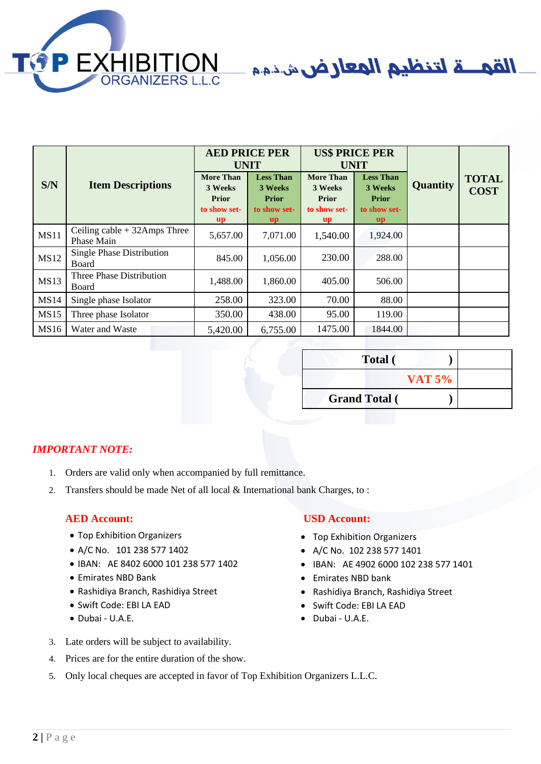

القمـــة لتنظيم المعارض شننمم

|             |                                              | <b>AED PRICE PER</b><br><b>UNIT</b>                                      |                                                                                        | <b>US\$ PRICE PER</b><br><b>UNIT</b>                                                   |                                                                                        |                 |                             |
|-------------|----------------------------------------------|--------------------------------------------------------------------------|----------------------------------------------------------------------------------------|----------------------------------------------------------------------------------------|----------------------------------------------------------------------------------------|-----------------|-----------------------------|
| S/N         | <b>Item Descriptions</b>                     | <b>More Than</b><br>3 Weeks<br><b>Prior</b><br>to show set-<br><b>up</b> | <b>Less Than</b><br>3 Weeks<br><b>Prior</b><br>to show set-<br>$\mathbf{u} \mathbf{p}$ | <b>More Than</b><br>3 Weeks<br><b>Prior</b><br>to show set-<br>$\mathbf{u} \mathbf{p}$ | <b>Less Than</b><br>3 Weeks<br><b>Prior</b><br>to show set-<br>$\mathbf{u} \mathbf{p}$ | <b>Quantity</b> | <b>TOTAL</b><br><b>COST</b> |
| <b>MS11</b> | Ceiling cable $+$ 32Amps Three<br>Phase Main | 5,657.00                                                                 | 7,071.00                                                                               | 1,540.00                                                                               | 1,924.00                                                                               |                 |                             |
| <b>MS12</b> | Single Phase Distribution<br>Board           | 845.00                                                                   | 1,056.00                                                                               | 230.00                                                                                 | 288.00                                                                                 |                 |                             |
| <b>MS13</b> | Three Phase Distribution<br>Board            | 1,488.00                                                                 | 1,860.00                                                                               | 405.00                                                                                 | 506.00                                                                                 |                 |                             |
| <b>MS14</b> | Single phase Isolator                        | 258.00                                                                   | 323.00                                                                                 | 70.00                                                                                  | 88.00                                                                                  |                 |                             |
| <b>MS15</b> | Three phase Isolator                         | 350.00                                                                   | 438.00                                                                                 | 95.00                                                                                  | 119.00                                                                                 |                 |                             |
| <b>MS16</b> | Water and Waste                              | 5,420.00                                                                 | 6,755.00                                                                               | 1475.00                                                                                | 1844.00                                                                                |                 |                             |

| <b>Total</b> (       |               |  |
|----------------------|---------------|--|
|                      | <b>VAT 5%</b> |  |
| <b>Grand Total</b> ( |               |  |

## *IMPORTANT NOTE:*

- 1. Orders are valid only when accompanied by full remittance.
- 2. Transfers should be made Net of all local & International bank Charges, to :

### **AED Account: USD Account:**

- Top Exhibition Organizers Top Exhibition Organizers
- A/C No. 101 238 577 1402 A/C No. 102 238 577 1401
- IBAN: AE 8402 6000 101 238 577 1402 IBAN: AE 4902 6000 102 238 577 1401
- 
- Rashidiya Branch, Rashidiya Street Rashidiya Branch, Rashidiya Street
- Swift Code: EBI LA EAD Swift Code: EBI LA EAD
- 
- 3. Late orders will be subject to availability.
- 4. Prices are for the entire duration of the show.

- 
- 
- 
- Emirates NBD Bank Emirates NBD bank
	-
	-
- Dubai U.A.E. Dubai U.A.E.
- 5. Only local cheques are accepted in favor of Top Exhibition Organizers L.L.C.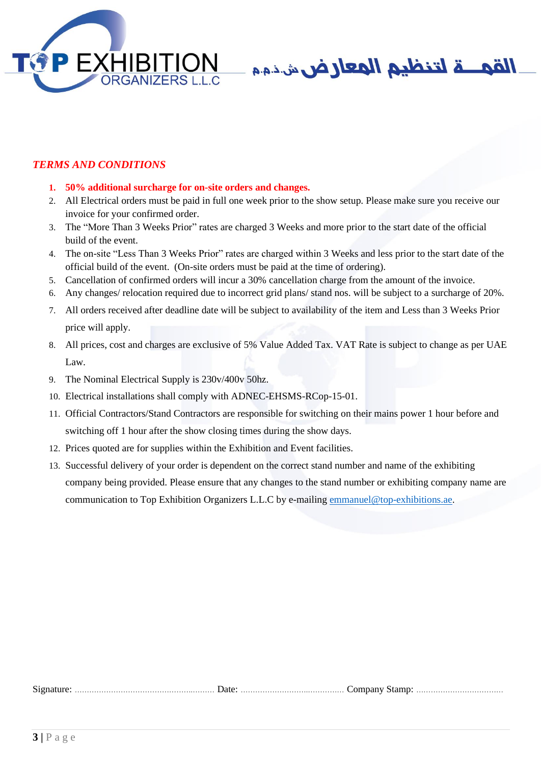



# *TERMS AND CONDITIONS*

- **1. 50% additional surcharge for on-site orders and changes.**
- 2. All Electrical orders must be paid in full one week prior to the show setup. Please make sure you receive our invoice for your confirmed order.
- 3. The "More Than 3 Weeks Prior" rates are charged 3 Weeks and more prior to the start date of the official build of the event.
- 4. The on-site "Less Than 3 Weeks Prior" rates are charged within 3 Weeks and less prior to the start date of the official build of the event. (On-site orders must be paid at the time of ordering).
- 5. Cancellation of confirmed orders will incur a 30% cancellation charge from the amount of the invoice.
- 6. Any changes/ relocation required due to incorrect grid plans/ stand nos. will be subject to a surcharge of 20%.
- 7. All orders received after deadline date will be subject to availability of the item and Less than 3 Weeks Prior price will apply.
- 8. All prices, cost and charges are exclusive of 5% Value Added Tax. VAT Rate is subject to change as per UAE Law.
- 9. The Nominal Electrical Supply is 230v/400v 50hz.
- 10. Electrical installations shall comply with ADNEC-EHSMS-RCop-15-01.
- 11. Official Contractors/Stand Contractors are responsible for switching on their mains power 1 hour before and switching off 1 hour after the show closing times during the show days.
- 12. Prices quoted are for supplies within the Exhibition and Event facilities.
- 13. Successful delivery of your order is dependent on the correct stand number and name of the exhibiting company being provided. Please ensure that any changes to the stand number or exhibiting company name are communication to Top Exhibition Organizers L.L.C by e-mailing [emmanuel@top-exhibitions.ae.](mailto:emmanuel@top-exhibitions.ae)

| $\sim$<br>$512^r$<br>наг | Compat |
|--------------------------|--------|
| 1/240                    | ма     |